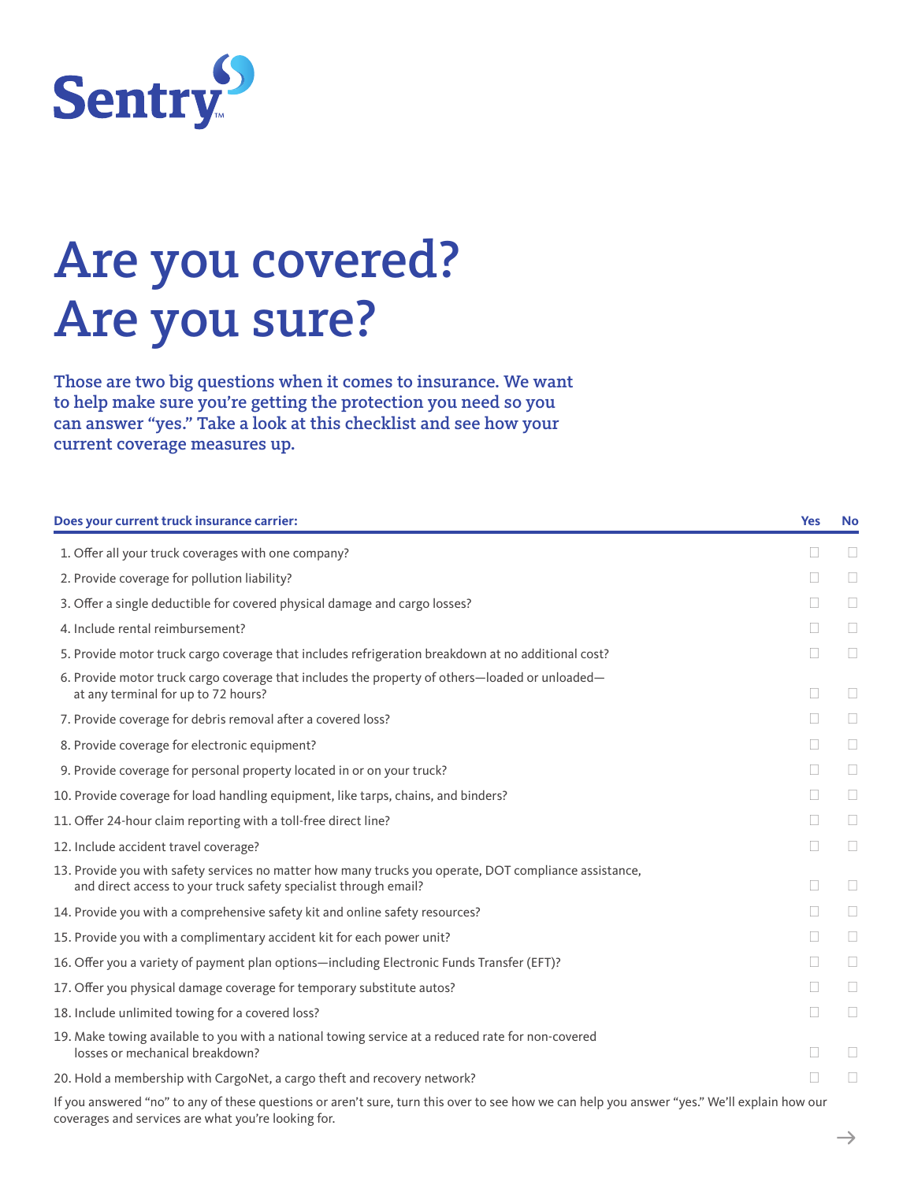

# Are you covered? Are you sure?

Those are two big questions when it comes to insurance. We want to help make sure you're getting the protection you need so you can answer "yes." Take a look at this checklist and see how your current coverage measures up.

| Does your current truck insurance carrier:                                                                                                                                 | <b>Yes</b> | <b>No</b>      |
|----------------------------------------------------------------------------------------------------------------------------------------------------------------------------|------------|----------------|
| 1. Offer all your truck coverages with one company?                                                                                                                        | ш          | $\mathbb{R}^n$ |
| 2. Provide coverage for pollution liability?                                                                                                                               | П          | $\Box$         |
| 3. Offer a single deductible for covered physical damage and cargo losses?                                                                                                 | П          | $\Box$         |
| 4. Include rental reimbursement?                                                                                                                                           | П          | П              |
| 5. Provide motor truck cargo coverage that includes refrigeration breakdown at no additional cost?                                                                         | П          | $\Box$         |
| 6. Provide motor truck cargo coverage that includes the property of others-loaded or unloaded-<br>at any terminal for up to 72 hours?                                      | П          | $\Box$         |
| 7. Provide coverage for debris removal after a covered loss?                                                                                                               | П          | $\Box$         |
| 8. Provide coverage for electronic equipment?                                                                                                                              | П          | $\Box$         |
| 9. Provide coverage for personal property located in or on your truck?                                                                                                     | П          | П              |
| 10. Provide coverage for load handling equipment, like tarps, chains, and binders?                                                                                         | П          | П              |
| 11. Offer 24-hour claim reporting with a toll-free direct line?                                                                                                            | П          | $\Box$         |
| 12. Include accident travel coverage?                                                                                                                                      | П          | $\Box$         |
| 13. Provide you with safety services no matter how many trucks you operate, DOT compliance assistance,<br>and direct access to your truck safety specialist through email? | П          | $\Box$         |
| 14. Provide you with a comprehensive safety kit and online safety resources?                                                                                               | П          | П              |
| 15. Provide you with a complimentary accident kit for each power unit?                                                                                                     | П          | П              |
| 16. Offer you a variety of payment plan options—including Electronic Funds Transfer (EFT)?                                                                                 | П          | $\Box$         |
| 17. Offer you physical damage coverage for temporary substitute autos?                                                                                                     | П          | $\Box$         |
| 18. Include unlimited towing for a covered loss?                                                                                                                           | П          | $\Box$         |
| 19. Make towing available to you with a national towing service at a reduced rate for non-covered<br>losses or mechanical breakdown?                                       | п          | П              |
| 20. Hold a membership with CargoNet, a cargo theft and recovery network?                                                                                                   |            |                |
|                                                                                                                                                                            |            |                |

If you answered "no" to any of these questions or aren't sure, turn this over to see how we can help you answer "yes." We'll explain how our coverages and services are what you're looking for.